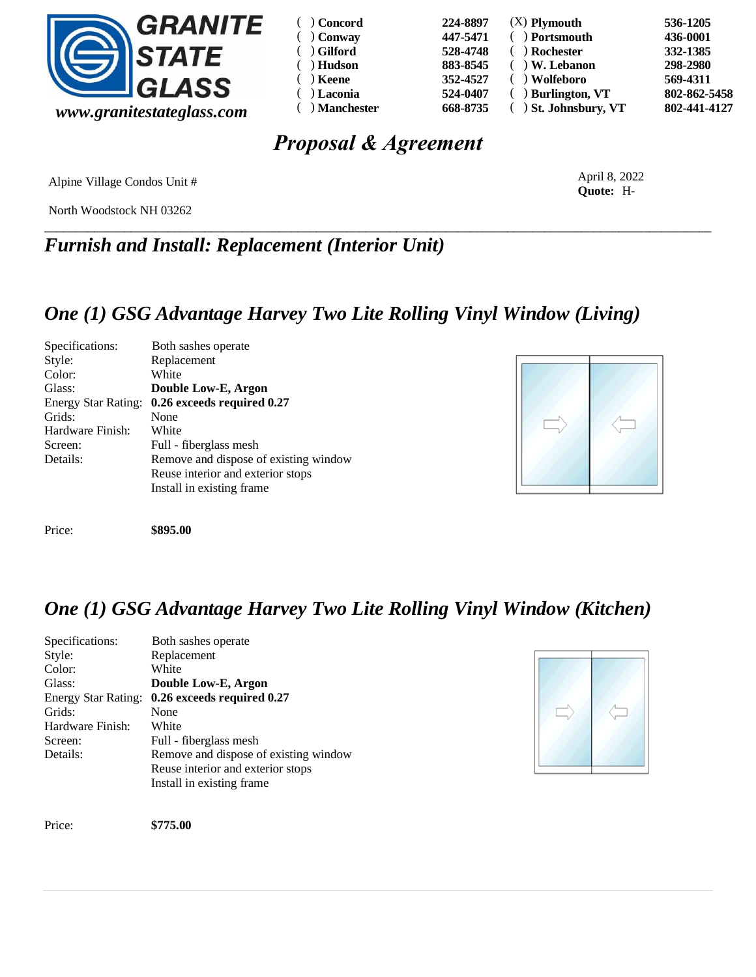

| $( )$ Concord    | 224-8897 | $(X)$ Plymouth          | 536-1205     |
|------------------|----------|-------------------------|--------------|
| $( )$ Conway     | 447-5471 | ) Portsmouth            | 436-0001     |
| $( )$ Gilford    | 528-4748 | ) Rochester             | 332-1385     |
| $( )$ Hudson     | 883-8545 | ) W. Lebanon            | 298-2980     |
| $( )$ Keene      | 352-4527 | ) Wolfeboro             | 569-4311     |
| $( )$ Laconia    | 524-0407 | $( )$ Burlington, VT    | 802-862-5458 |
| $( )$ Manchester | 668-8735 | $( )$ St. Johnsbury, VT | 802-441-4127 |

# *Proposal & Agreement*

\_\_\_\_\_\_\_\_\_\_\_\_\_\_\_\_\_\_\_\_\_\_\_\_\_\_\_\_\_\_\_\_\_\_\_\_\_\_\_\_\_\_\_\_\_\_\_\_\_\_\_\_\_\_\_\_\_\_\_\_\_\_\_\_\_\_\_\_\_\_\_\_\_\_\_\_\_\_\_\_\_\_\_\_\_\_\_\_\_\_\_\_\_\_\_\_\_\_\_\_\_\_\_\_\_\_\_\_

Alpine Village Condos Unit #

North Woodstock NH 03262

*Furnish and Install: Replacement (Interior Unit)*

### *One (1) GSG Advantage Harvey Two Lite Rolling Vinyl Window (Living)*

| Specifications:            | Both sashes operate                   |
|----------------------------|---------------------------------------|
| Style:                     | Replacement                           |
| Color:                     | White                                 |
| Glass:                     | Double Low-E, Argon                   |
| <b>Energy Star Rating:</b> | 0.26 exceeds required 0.27            |
| Grids:                     | None                                  |
| Hardware Finish:           | White                                 |
| Screen:                    | Full - fiberglass mesh                |
| Details:                   | Remove and dispose of existing window |
|                            | Reuse interior and exterior stops     |
|                            | Install in existing frame.            |
|                            |                                       |
|                            |                                       |



Price: **\$895.00** 

## *One (1) GSG Advantage Harvey Two Lite Rolling Vinyl Window (Kitchen)*

| Specifications:            | Both sashes operate                   |
|----------------------------|---------------------------------------|
| Style:                     | Replacement                           |
| Color:                     | White                                 |
| Glass:                     | Double Low-E, Argon                   |
| <b>Energy Star Rating:</b> | 0.26 exceeds required 0.27            |
| Grids:                     | None                                  |
| Hardware Finish:           | White                                 |
| Screen:                    | Full - fiberglass mesh                |
| Details:                   | Remove and dispose of existing window |
|                            | Reuse interior and exterior stops     |
|                            | Install in existing frame             |



Price: **\$775.00** 

April 8, 2022 **Quote:** H-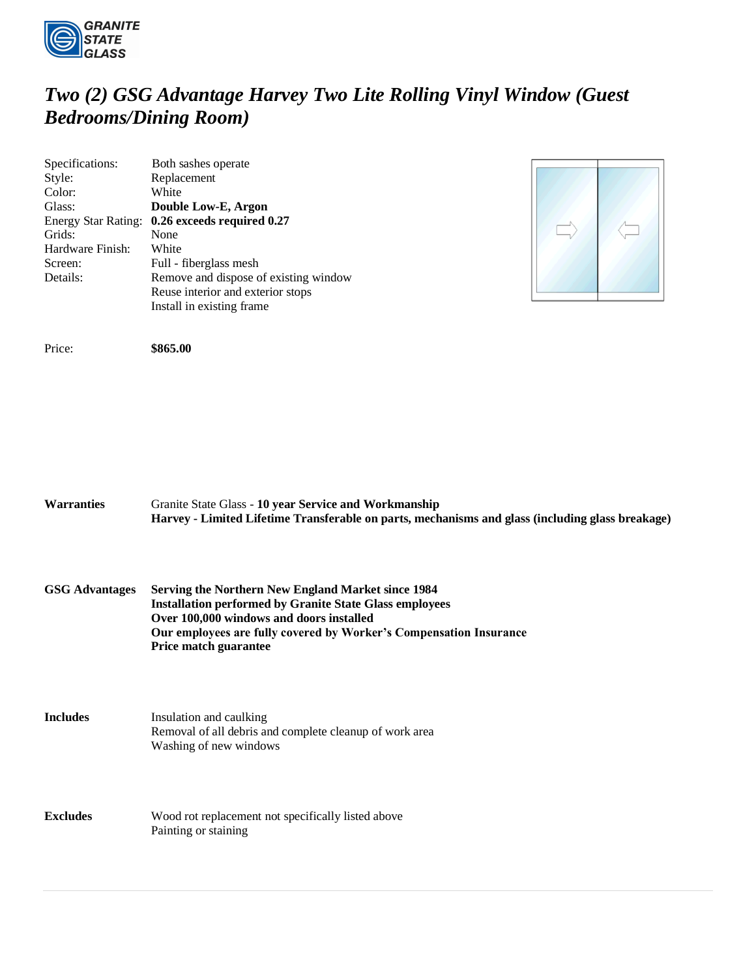

## *Two (2) GSG Advantage Harvey Two Lite Rolling Vinyl Window (Guest Bedrooms/Dining Room)*

| Specifications:            | Both sashes operate                   |
|----------------------------|---------------------------------------|
| Style:                     | Replacement                           |
| Color:                     | White                                 |
| Glass:                     | Double Low-E, Argon                   |
| <b>Energy Star Rating:</b> | 0.26 exceeds required 0.27            |
| Grids:                     | None                                  |
| Hardware Finish:           | White                                 |
| Screen:                    | Full - fiberglass mesh                |
| Details:                   | Remove and dispose of existing window |
|                            | Reuse interior and exterior stops     |
|                            | Install in existing frame.            |



Price: **\$865.00** 

| <b>Warranties</b>     | Granite State Glass - 10 year Service and Workmanship<br>Harvey - Limited Lifetime Transferable on parts, mechanisms and glass (including glass breakage)                                                                                                       |
|-----------------------|-----------------------------------------------------------------------------------------------------------------------------------------------------------------------------------------------------------------------------------------------------------------|
| <b>GSG Advantages</b> | Serving the Northern New England Market since 1984<br><b>Installation performed by Granite State Glass employees</b><br>Over 100,000 windows and doors installed<br>Our employees are fully covered by Worker's Compensation Insurance<br>Price match guarantee |
| <b>Includes</b>       | Insulation and caulking<br>Removal of all debris and complete cleanup of work area<br>Washing of new windows                                                                                                                                                    |
| <b>Excludes</b>       | Wood rot replacement not specifically listed above<br>Painting or staining                                                                                                                                                                                      |